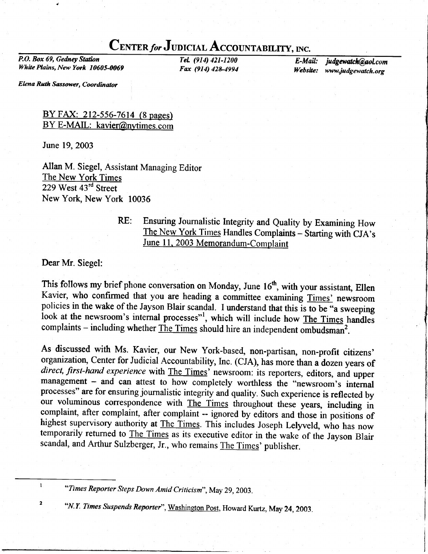# CENTER for JUDICIAL ACCOUNTABILITY, INC.

P.O. Box 69, Gedney Station White Plains, New York 10605-0069

TeL (914) 421-1200 Fax (914) 428-4994

E-Mail: judgewatch@aol.com<br>Website: www.judgewatch.org www.judgewatch.org

Elena Ruth Sassower, Coordinator

#### BY FAX: 212-556-7614 (8 pages) BY E-MAIL: kavier@nytimes.com

June 19,2003

Allan M. Siegel, Assistant Managing Editor The New York Times 229 West 43<sup>rd</sup> Street New York, New York 10036

## RE: Ensuring Journalistic Integrity and Quality by Examining How The New York Times Handles Complaints - Starting with CJA's June 11, 2003 Memorandum-Complaint

Dear Mr. Siegel:

 $\mathbf{I}$ 

 $\overline{\mathbf{2}}$ 

This follows my brief phone conversation on Monday, June  $16<sup>th</sup>$ , with your assistant, Ellen Kavier, who confirmed that you are heading a committee examining Times' newsroom policies in the wake of the Jayson Blair scandal. I understand that this is to be "a sweeping look at the newsroom's internal processes"<sup>1</sup>, which will include how The Times handles complaints - including whether  $\overline{\text{The Times}}$  should hire an independent ombudsman<sup>2</sup>.

As discussed with Ms. Kavier, our New York-based, non-partisan, non-profit citizens' organization, Center for Judicial Accountability, Inc. (CJA), has more than a dozen years of direct, first-hand experience with The Times' newsroom: its reporters, editors, and upper management - and can attest to how completely worthless the "newsroom's internal processes" are for ensuring journalistic integrity and quality. Such experience is reflected by our voluminous correspondence with The Times throughout these years, including in complaint, after complaint, after complaint -- ignored by editors and those in positions of highest supervisory authority at The Times. This includes Joseph Lelyveld, who has now temporarily returned to The Times as its executive editor in the wake of the Jayson Blair scandal, and Arthur Sulzberger, Jr., who remains The Times' publisher.

<sup>&</sup>quot;Times Reporter Steps Down Amid Criticism", May 29, 2003.

<sup>&</sup>quot;N.Y. Times Suspends Reporter", Washington Post, Howard Kurtz, May 24, 2003.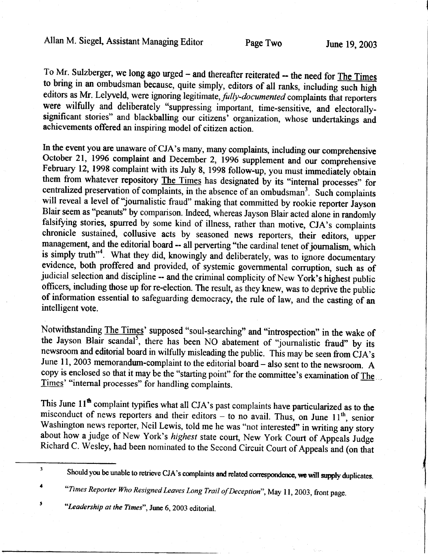## Allan M. Siegel, Assistant Managing Editor Page Two June 19, 2003

To Mr. Sulzberger, we long ago urged - and thereafter reiterated -- the need for The Times to bring in an ombudsman because, quite simply, editors of all ranks, including such high editors as Mr. Lelyveld, were ignoring legitimate, *fully-documented* complaints that reporters were wilfully and deliberately "suppressing important, time-sensitive, and electorallysignificant stories" and blackballing our citizens' organization, whose undertakings and achievements offered an inspiring model of citizen action.

In the event you are unaware of CJA's many, many complaints, including our comprehensive October 21, 1996 complaint and December 2, 1996 supplement and our comprehensive February 12, 1998 complaint with its July 8, 1998 follow-up, you must immediately obtain them from whatever repository The Times has designated by its "internal processes" for centralized preservation of complaints, in the absence of an ombudsman<sup>3</sup>. Such complaints will reveal a level of "journalistic fraud" making that committed by rookie reporter Jayson Blair seem as "peanuts" by comparison. Indeed, whereas Jayson Blair acted alone in randomly falsifying stories, spurred by some kind of illness, rather than motive, CJA's complaints chronicle sustained, collusive acts by seasoned news reporters, their editors, upper management, and the editorial board -- all perverting "the cardinal tenet of journalism, which is simply truth"<sup>4</sup>. What they did, knowingly and deliberately, was to ignore documentary evidence, both proffered and provided, of systemic governmental corruption, such as of judicial selection and discipline -- and the criminal complicity of New York's highest public officers, including those up for re-election. The result, as they knew, was to deprive the public of information essential to safeguarding democracy, the rule of law, and the casting of an intelligent vote.

Notwithstanding The Times' supposed "soul-searching" and "introspection" in the wake of the Jayson Blair scandal<sup>5</sup>, there has been NO abatement of "journalistic fraud" by its newsroom and editorial board in wilfully misleading the public. This may be seen from CJA's June 11, 2003 memorandum-complaint to the editorial board  $-$  also sent to the newsroom. A copy is enclosed so that it may be the "starting point" for the committee's examination of The Times' "internal processes" for handling complaints.

This June 11<sup>th</sup> complaint typifies what all CJA's past complaints have particularized as to the misconduct of news reporters and their editors - to no avail. Thus, on June 11<sup>th</sup>, senior Washington news reporter, Neil Lewis, told me he was "not interested" in writing any story about how a judge of New York's highest state court, New York Court of Appeals Judge Richard C. Wesley, had been nominated to the Second Circuit Court of Appeals and (on that

 $\pmb{\mathsf{s}}$ 

 $\overline{\mathbf{3}}$ Should you be unable to retrieve CJA's complaints and related correspondence, we will supply duplicates.

<sup>4</sup> "Times Reporter Who Resigned Leaves Long Trail of Deception", May 11, 2003, front page.

<sup>&</sup>quot;Leadership at the Times", June 6, 2003 editorial.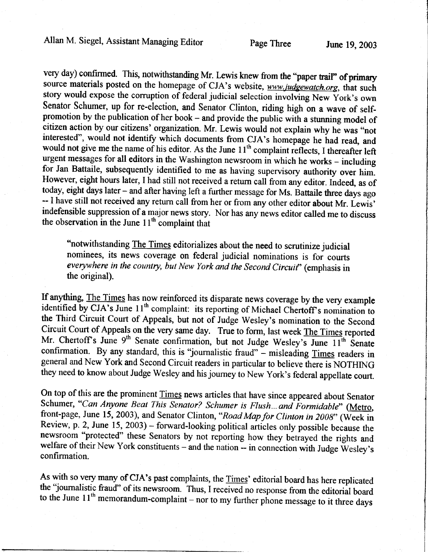very day) confirmed. This, notwithstanding Mr. Lewis knew from the "paper trail" of primary source materials posted on the homepage of CJA's website, www.judgewatch.org, that such story would expose the corruption of federal judicial selection involving New York's own Senator Schumer, up for re-election, and Senator Clinton, riding high on a wave of selfpromotion by the publication of her book - and provide the public with a stunning model of citizen action by our citizens' organization. Mr. Lewis would not explain why he was "not interested", would not identify which documents from CJA's homepage he had read, and would not give me the name of his editor. As the June  $11<sup>th</sup>$  complaint reflects, I thereafter left urgent messages for all editors in the Washington newsroom in which he works – including for Jan Battaile, subsequently identified to me as having supervisory authority over him. However, eight hours later, I had still not received a return call from any editor. Indeed, as of today, eight days later - and after having left a further message for Ms. Battaile three days ago -- I have still not received any return call from her or from any other editor about Mr. Lewis' indefensible suppression of a major news story. Nor has any news editor called me to discuss the observation in the June  $11<sup>th</sup>$  complaint that

"notwithstanding The Times editorializes about the need to scrutinize judicial nominees, its news coverage on federal judicial nominations is for courts everywhere in the country, but New York and the Second Circuit' (emphasis in the original).

If anything, The Times has now reinforced its disparate news coverage by the very example identified by CJA's June 11<sup>th</sup> complaint: its reporting of Michael Chertoff's nomination to the Third Circuit Court of Appeals, but not of Judge Wesley's nomination to the Second Circuit Court of Appeals on the very same day. True to form, last week The Times reported Mr. Chertoff's June 9<sup>th</sup> Senate confirmation, but not Judge Wesley's June 11<sup>th</sup> Senate confirmation. By any standard, this is "journalistic fraud" - misleading Times readers in general and New York and Second Circuit readers in particular to believe there is NOTHING they need to know about Judge Wesley and his joumey to New York's federal appellate court.

On top of this are the prominent Times news articles that have since appeared about Senator Schumer, "Can Anyone Beat This Senator? Schumer is Flush... and Formidable" (Metro, front-page, June 15, 2003), and Senator Clinton, "Road Map for Clinton in 2008" (Week in Review, p. 2, June 15, 2003) - forward-looking political articles only possible because the newsroom "protected" these Senators by not reporting how they betrayed the rights and welfare of their New York constituents - and the nation -- in connection with Judge Wesley's confirmation.

As with so very many of CJA's past complaints, the Times' editorial board has here replicated the "journalistic fraud" of its newsroom. Thus, I received no response from the editorial board to the June  $11<sup>th</sup>$  memorandum-complaint - nor to my further phone message to it three days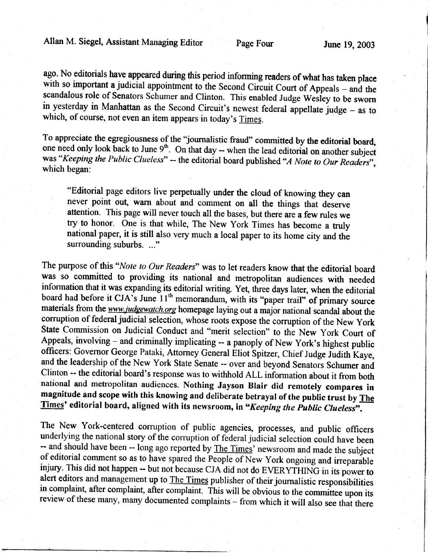ago. No editorials have appeared during this period informing readers of what has taken place<br>with so important a judicial appointment to the Second Circuit Court of Appeals – and the<br>scandalous role of Senators Schumer an in yesterday in Manhattan as the Second Circuit's newest federal appellate judge - as to which, of course, not even an item appears in today's Times.

To appreciate the egregiousness of the "journalistic fraud" committed by the editorial board, one need only look back to June  $9<sup>th</sup>$ . On that day -- when the lead editorial on another subject was "Keeping the Public Clueless" -- the editorial board published "A Note to Our Readers", which began:

"Editorial page editors live perpetually under the cloud of knowing they can never point out, warn about and comment on all the things that deserve attention. This page will never touch all the bases, but there are a few rules we try to honor. One is that while, The New York Times has become a truly national paper, it is still also very much a local paper to its home city and the surrounding suburbs. ..."

The purpose of this "Note to Our Readers" was to let readers know that the editorial board was so committed to providing its national and metropolitan audiences with needed information that it was expanding its editorial writing. Yet, three days later, when the editorial board had before it CJA's June  $11<sup>th</sup>$  memorandum, with its "paper trail" of primary source materials from the www.judgewatch.org homepage laying out a major national scandal about the corruption of federal judicial selection, whose roots expose the corruption of the New York State Commission on Judicial Conduct and "merit selection" to the New York Court of Appeals, involving  $-$  and criminally implicating  $-$  a panoply of New York's highest public officers: Governor George Pataki, Attorney General Eliot Spitzer, Chief Judge Judith Kaye, and the leadership of the New York State Senate -- over and beyond Senators Schumer and Clinton -- the editorial board's response was to withhold ALL information about it from both national and metropolitan audiences. Nothing Jayson Blair did remotely compares in magnitude and scope with this knowing and deliberate betrayal of the public trust by The Times' editorial board, aligned with its newsroom, in "Keeping the Public Clueless".

The New York-centered corruption of public agencies, processes, and public officers underlying the national story of the corruption of federal judicial selection could have been -- and should have been -- long ago reported by The Times' newsroom and made the subject of editorial comment so as to have spared the People of New York ongoing and irreparable injury. This did not happen -- but not becau alert editors and management up to The Times publisher of their journalistic responsibilities<br>in complaint, after complaint, after complaint. This will be obvious to the committee upon its<br>review of these many, many docume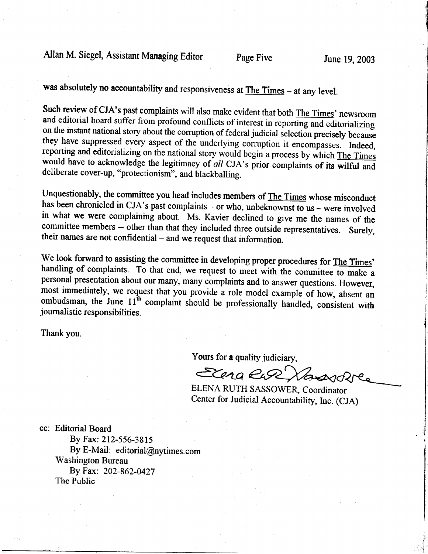Allan M. Siegel, Assistant Managing Editor Page Five June 19, 2003

was absolutely no accountability and responsiveness at The Times - at any level.

Such review of CJA's past complaints will also make evident that both The Times' newsroom and editorial board suffer from profound conflicts of interest in reporting and editorializing on the instant national story about t they have suppressed every aspect of the underlying corruption it encompasses. Indeed, reporting and editorializing on the national story would begin a process by which The Times would have to acknowledge the legitimacy of

Unquestionably, the committee you head includes members of The Times whose misconduct has been chronicled in CJA's past complaints - or who, unbeknownst to  $us$  - were involved in what we were complaining about. Ms. Kavier declined to give me the names of the committee members -- other than that they included three outside representatives. Surely, their names are not confidential – and we request that information.

We look forward to assisting the committee in developing proper procedures for The Times' handling of complaints. To that end, we request to meet with the committee to make a personal presentation about our many, many complaints and to answer questions. However, most immediately, we request that you provide a role model example of how, absent an ombudsman, the June 11<sup>th</sup> complaint should be professionally handled, consistent with journalistic responsibilities.

Thank you.

Yours for a quality judiciary,

Elena Ruse Vansvolve

ELENA RUTH SASSOWER, Coordinator Center for Judicial Accountability, Inc. (CJA)

cc: Editorial Board By Fax: 212-556-3815 By E-Mail: editorial@nytimes.com Washington Bureau By Fax: 202-862-0427 The Public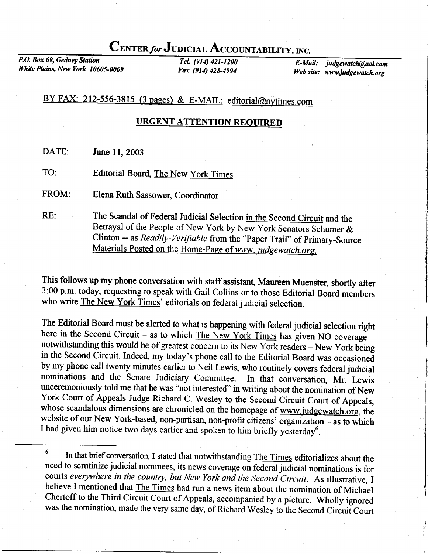# CENTER for JUDICIAL ACCOUNTABILITY, INC.

P.O. Box 69, Gedney Station White Plains, New York 10605-0069

TeL (914) 421-1200 Fax (914) 428-4994

E-Mail: judgewatch@aol.com Web site: www.judgewatch.org

## BY FAX: 212-556-3815 (3 pages) & E-MAIL: editorial@nytimes.com

### URGENT ATTENTION REQUIRED

DATE: June 11,2003

TO: Editorial Board, The New York Times

FROM: Elena Ruth Sassower, Coordinator

RE: The Scandal of Federal Judicial Selection in the Second Circuit and the Betrayal of the People of New York by New York Senators Schumer & Clinton -- as Readily-Verifiable from the "Paper Trail" of Primary-Source<br>Materials Posted on the Home-Page of www. judgewatch.org.

This follows up my phone conversation with staff assistant, Maureen Muenster, shortly after 3:00 p.m. today, requesting to speak with Gail Collins or to those Editorial Board members who write The New York Times' editorials on federal judicial selection.

The Editorial Board must be alerted to what is happening with federal judicial selection right here in the Second Circuit - as to which The New York Times has given NO coverage  $$ notwithstanding this would be of greatest concern to its New York readers - New York being in the Second Circuit. Indeed, my today's phone call to the Editorial Board was occasioned by my phone call twenty minutes earlier to Neil Lewis, who routinely covers federal judicial nominations and the Senate Judiciary Committee. In that conversation, Mr. Lewis unceremoniously told me that he was "not interested" in writing about the nomination of New York Court of Appeals Judge Richard C. Wesley to the Second Circuit Court of Appeals, whose scandalous dimensions are chronicled on the homepage of www.judgewatch.org, the website of our New York-based, non-partisan, non-profit citizens' organization - as to which I had given him notice two days earlier and spoken to him briefly yesterday<sup>6</sup>.

<sup>&</sup>lt;sup>6</sup> In that brief conversation, I stated that notwithstanding The Times editorializes about the need to scrutinize judicial nominees, its news coverage on federal judicial nominations is for courts everywhere in the country, but New York and the Second Circuit. As illustrative, I believe I mentioned that The Times had run a news item about the nomination of Michael Chertoff to the Third Circuit Court of Appeals, accompanied by a picture. Wholly ignored was the nomination, made the very same day, of Richard Wesley to the Second Circuit Court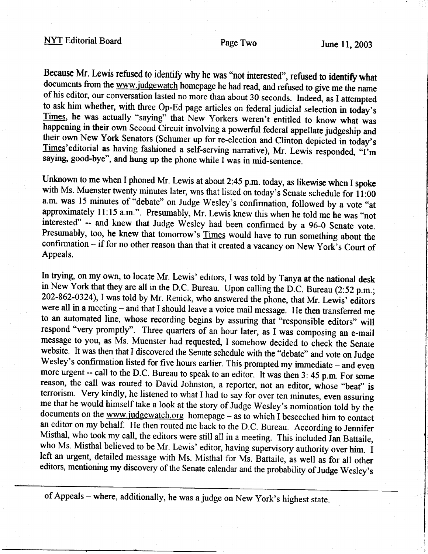## NYT Editorial Board Page Two June 11, 2003

Because Mr. Lewis refused to identify why he was "not interested", refused to identify what documents from the www.judgewatch homepage he had read, and refused to give me the name of his editor, our conversation lasted no more than about 30 seconds. Indeed, as I attempted to ask him whether, with three Op-Ed page articles on federal judicial selection in today's Times, he was actually "saying" that New Yorkers weren't entitled to know what was happening in their own Second Circuit involving a powerful federal appellate judgeship and their own New York Senators (Schumer up for re-e saying, good-bye", and hung up the phone while I was in mid-sentence.

Unknown to me when I phoned Mr. Lewis at about 2:45 p.m. today, as likewise when I spoke with Ms. Muenster twenty minutes later, was that listed on today's Senate schedule for 11:00 a.m. was 15 minutes of "debate" on Judge Wesley's confirmation, followed by a vote "at approximately 11:15 a.m.". Presumably, Mr. Lewis knew this when he told me he was "not interested" -- and knew that Judge Wesley had been confirmed by a 96-0 Senate vote.<br>Presumably, too, he knew that tomorrow's Times would have to run something about the confirmation - if for no other reason than that it created a vacancy on New York's Court of Appeals.

In trying, on my own, to locate Mr. Lewis' editors, I was told by Tanya at the national desk in New York that they are all in the D.C. Bureau. Upon calling the D.C. Bureau (2:52 p.m.; 202-862-0324), I was told by Mr. Renick, who answered the phone, that Mr. Lewis' editors were all in a meeting - and that I should leave a voice mail message. He then transferred me to an automated line, whose recording begins by assuring that "responsible editors" will respond "very promptly". Three quarters of an hour later, as I was composing an e-mail message to you, as Ms. Muenster had requested, I somehow decided to check the Senate website. It was then that I discovered the Senate schedule with the "debate" and vote on Judge Wesley's confirmation listed for five hours earlier. This prompted my immediate – and even more urgent -- call to the D.C. Bureau to speak to an editor. It was then  $3: 45$  p.m. For some reason, the call was routed to David Johnston, a reporter, not an editor, whose "beat" is terrorism. Very kindly, he listened to what I had to say for over ten minutes, even assuring me that he would himself take a look at documents on the www.judgewatch.org homepage - as to which I beseeched him to contact an editor on my behalf. He then routed me back to the D.C. Bureau. According to Jennifer Misthal, who took my call, the editors were still all in a meeting. This included Jan Battaile, who Ms. Misthal believed to be Mr. Lewis' editor, having supervisory authority over him. I left an urgent, detailed message wi editors, mentioning my discovery of the Senate calendar and the probability of Judge Wesley's

of Appeals - where, additionally, he was a judge on New york's highest state.